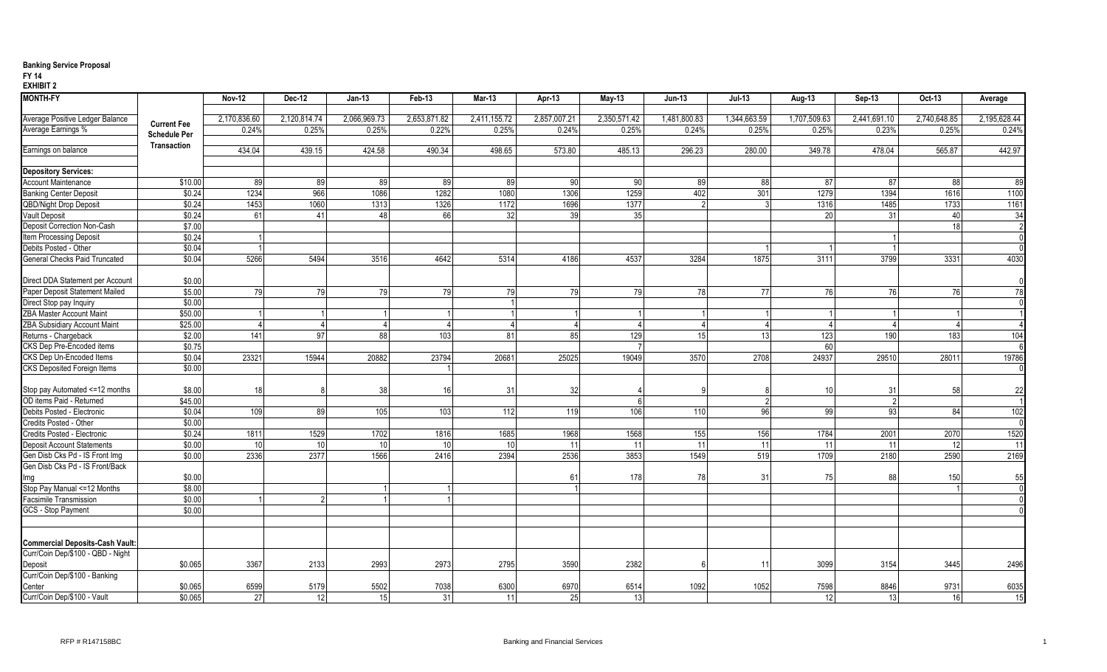## **Banking Service Proposal**

#### **FY 14**

**EXHIBIT 2**

| <b>MONTH-FY</b>                        |                     | <b>Nov-12</b> | <b>Dec-12</b> | $Jan-13$     | Feb-13       | Mar-13       | Apr-13       | <b>May-13</b> | <b>Jun-13</b> | <b>Jul-13</b> | Aug-13       | Sep-13       | Oct-13       | Average         |
|----------------------------------------|---------------------|---------------|---------------|--------------|--------------|--------------|--------------|---------------|---------------|---------------|--------------|--------------|--------------|-----------------|
|                                        |                     |               |               |              |              |              |              |               |               |               |              |              |              |                 |
| Average Positive Ledger Balance        | <b>Current Fee</b>  | 2,170,836.60  | 2,120,814.74  | 2,066,969.73 | 2,653,871.82 | 2,411,155.72 | 2,857,007.21 | 2,350,571.42  | 1,481,800.83  | 1,344,663.59  | 1,707,509.63 | 2,441,691.10 | 2,740,648.85 | 2,195,628.44    |
| Average Earnings %                     | <b>Schedule Per</b> | 0.24%         | 0.25%         | 0.25%        | 0.22%        | 0.25%        | 0.24%        | 0.25%         | 0.24%         | 0.25%         | 0.25%        | 0.23%        | 0.25%        | 0.24%           |
|                                        | Transaction         |               |               |              |              |              |              |               |               |               |              |              |              |                 |
| Earnings on balance                    |                     | 434.04        | 439.15        | 424.58       | 490.34       | 498.65       | 573.80       | 485.13        | 296.23        | 280.00        | 349.78       | 478.04       | 565.87       | 442.97          |
|                                        |                     |               |               |              |              |              |              |               |               |               |              |              |              |                 |
| <b>Depository Services:</b>            |                     |               |               |              |              |              |              |               |               |               |              |              |              |                 |
| <b>Account Maintenance</b>             | \$10.00             | 89            | 89            | 89           | 89           | 89           | 90           | 90            | 89            | 88            | 87           | 87           | 88           | 89              |
| <b>Banking Center Deposit</b>          | \$0.24              | 1234          | 966           | 1086         | 1282         | 1080         | 1306         | 1259          | 402           | 301           | 1279         | 1394         | 1616         | 1100            |
| <b>QBD/Night Drop Deposit</b>          | \$0.24              | 1453          | 1060          | 1313         | 1326         | 1172         | 1696         | 1377          |               |               | 1316         | 1485         | 1733         | 1161            |
| <b>Vault Deposit</b>                   | \$0.24              | 61            | 41            | 48           | 66           | 32           | 39           | 35            |               |               | 20           | 31           | 40           | 34              |
| Deposit Correction Non-Cash            | \$7.00              |               |               |              |              |              |              |               |               |               |              |              | 18           |                 |
| Item Processing Deposit                | \$0.24              |               |               |              |              |              |              |               |               |               |              |              |              |                 |
| Debits Posted - Other                  | \$0.04              |               |               |              |              |              |              |               |               |               |              |              |              |                 |
| <b>General Checks Paid Truncated</b>   | \$0.04              | 5266          | 5494          | 3516         | 4642         | 5314         | 4186         | 4537          | 3284          | 1875          | 3111         | 3799         | 3331         | 4030            |
| Direct DDA Statement per Account       | \$0.00              |               |               |              |              |              |              |               |               |               |              |              |              |                 |
| Paper Deposit Statement Mailed         | \$5.00              | 79            | 79            | 79           | 79           | 79           | 79           | 79            | 78            | 77            | 76           | 76           | 76           | $\overline{78}$ |
| Direct Stop pay Inquiry                | \$0.00              |               |               |              |              |              |              |               |               |               |              |              |              |                 |
| <b>ZBA Master Account Maint</b>        | \$50.00             |               |               |              |              |              |              |               |               |               |              |              |              |                 |
| ZBA Subsidiary Account Maint           | \$25.00             |               |               |              |              |              |              |               |               |               |              |              |              |                 |
| Returns - Chargeback                   | \$2.00              | 141           | 97            | 88           | 103          | 81           | 85           | 129           | 15            | 13            | 123          | 190          | 183          | 104             |
| CKS Dep Pre-Encoded items              | \$0.75              |               |               |              |              |              |              |               |               |               | 60           |              |              |                 |
| CKS Dep Un-Encoded Items               | \$0.04              | 23321         | 15944         | 20882        | 23794        | 20681        | 25025        | 19049         | 3570          | 2708          | 24937        | 29510        | 28011        | 19786           |
| CKS Deposited Foreign Items            | \$0.00              |               |               |              |              |              |              |               |               |               |              |              |              |                 |
|                                        |                     |               |               |              |              |              |              |               |               |               |              |              |              |                 |
| Stop pay Automated <= 12 months        | \$8.00              | 18            |               | 38           | 16           | 31           | 32           |               |               |               | 10           | 31           | 58           | 22              |
| OD items Paid - Returned               | \$45.00             |               |               |              |              |              |              |               |               |               |              |              |              |                 |
| Debits Posted - Electronic             | \$0.04              | 109           | 89            | 105          | 103          | 112          | 119          | 106           | 110           | 96            | 99           | 93           | 84           | 102             |
| Credits Posted - Other                 | \$0.00              |               |               |              |              |              |              |               |               |               |              |              |              |                 |
| Credits Posted - Electronic            | \$0.24              | 1811          | 1529          | 1702         | 1816         | 1685         | 1968         | 1568          | 155           | 156           | 1784         | 2001         | 2070         | 1520            |
| <b>Deposit Account Statements</b>      | \$0.00              | 10            | 10            | 10           | 10           | 10           | 11           | 11            | 11            | 11            | 11           | 11           | 12           | 11              |
| Gen Disb Cks Pd - IS Front Img         | \$0.00              | 2336          | 2377          | 1566         | 2416         | 2394         | 2536         | 3853          | 1549          | 519           | 1709         | 2180         | 2590         | 2169            |
| Gen Disb Cks Pd - IS Front/Back        |                     |               |               |              |              |              |              |               |               |               |              |              |              |                 |
| Img                                    | \$0.00              |               |               |              |              |              | 61           | 178           | 78            | 31            | 75           | 88           | 150          | 55              |
| Stop Pay Manual <= 12 Months           | \$8.00              |               |               |              |              |              |              |               |               |               |              |              |              |                 |
| <b>Facsimile Transmission</b>          | \$0.00              |               | 2             |              |              |              |              |               |               |               |              |              |              |                 |
| GCS - Stop Payment                     | \$0.00              |               |               |              |              |              |              |               |               |               |              |              |              |                 |
|                                        |                     |               |               |              |              |              |              |               |               |               |              |              |              |                 |
| <b>Commercial Deposits-Cash Vault:</b> |                     |               |               |              |              |              |              |               |               |               |              |              |              |                 |
| Curr/Coin Dep/\$100 - QBD - Night      |                     |               |               |              |              |              |              |               |               |               |              |              |              |                 |
| Deposit                                | \$0.065             | 3367          | 2133          | 2993         | 2973         | 2795         | 3590         | 2382          |               |               | 3099         | 3154         | 3445         | 2496            |
| Curr/Coin Dep/\$100 - Banking          |                     |               |               |              |              |              |              |               |               |               |              |              |              |                 |
| Center                                 | \$0.065             | 6599          | 5179          | 5502         | 7038         | 6300         | 6970         | 6514          | 1092          | 1052          | 7598         | 8846         | 9731         | 6035            |
| Curr/Coin Dep/\$100 - Vault            | \$0.065             | 27            | 12            | 15           | 31           | 11           | 25           | 13            |               |               | 12           | 13           | 16           | 15              |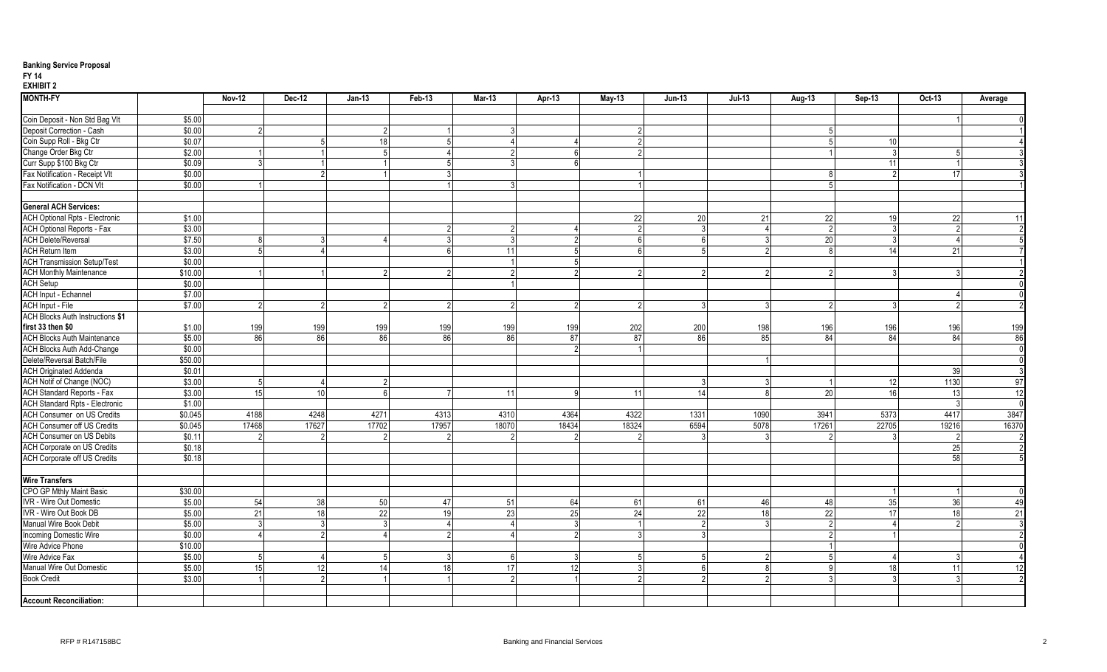## **Banking Service Proposal**

#### **FY 14**

**EXHIBIT 2**

| <b>MONTH-FY</b>                         |         | <b>Nov-12</b> | <b>Dec-12</b>   | <b>Jan-13</b>   | Feb-13 | Mar-13         | Apr-13 | May-13 | Jun-13   | <b>Jul-13</b> | Aug-13          | Sep-13 | Oct-13          | Average |
|-----------------------------------------|---------|---------------|-----------------|-----------------|--------|----------------|--------|--------|----------|---------------|-----------------|--------|-----------------|---------|
| Coin Deposit - Non Std Bag VIt          | \$5.00  |               |                 |                 |        |                |        |        |          |               |                 |        |                 |         |
| Deposit Correction - Cash               | \$0.00  |               |                 |                 |        |                |        |        |          |               |                 |        |                 |         |
| Coin Supp Roll - Bkg Ctr                | \$0.07  |               | .5              | 18              |        |                |        |        |          |               |                 | 10     |                 |         |
| Change Order Bkg Ctr                    | \$2.00  |               |                 |                 |        | $\overline{2}$ |        |        |          |               |                 |        |                 |         |
| Curr Supp \$100 Bkg Ctr                 | \$0.09  |               |                 |                 |        | 3              |        |        |          |               |                 | 11     |                 |         |
| Fax Notification - Receipt VIt          | \$0.00  |               | $\mathfrak{p}$  |                 |        |                |        |        |          |               | 8               |        | $\overline{17}$ |         |
| Fax Notification - DCN VIt              | \$0.00  |               |                 |                 |        |                |        |        |          |               | 5               |        |                 |         |
|                                         |         |               |                 |                 |        |                |        |        |          |               |                 |        |                 |         |
| <b>General ACH Services:</b>            |         |               |                 |                 |        |                |        |        |          |               |                 |        |                 |         |
| <b>ACH Optional Rpts - Electronic</b>   | \$1.00  |               |                 |                 |        |                |        | 22     | 20       | 21            | 22              | 19     | 22              | 11      |
| <b>ACH Optional Reports - Fax</b>       | \$3.00  |               |                 |                 |        | $\overline{2}$ |        |        |          |               | $\overline{2}$  |        | - 2             |         |
| <b>ACH Delete/Reversal</b>              | \$7.50  |               |                 |                 |        | 3              |        | ĥ      | $\kappa$ |               | 20              |        |                 |         |
| <b>ACH Return Item</b>                  | \$3.00  |               |                 |                 |        | 11             |        |        |          |               |                 | 14     | 21              |         |
| <b>ACH Transmission Setup/Test</b>      | \$0.00  |               |                 |                 |        |                |        |        |          |               |                 |        |                 |         |
| <b>ACH Monthly Maintenance</b>          | \$10.00 |               |                 |                 |        | 2              |        |        |          |               |                 |        |                 |         |
| <b>ACH Setup</b>                        | \$0.00  |               |                 |                 |        |                |        |        |          |               |                 |        |                 |         |
| <b>ACH Input - Echannel</b>             | \$7.00  |               |                 |                 |        |                |        |        |          |               |                 |        |                 |         |
| <b>ACH Input - File</b>                 | \$7.00  |               | 2               |                 |        |                |        |        |          |               |                 |        |                 |         |
| <b>ACH Blocks Auth Instructions \$1</b> |         |               |                 |                 |        |                |        |        |          |               |                 |        |                 |         |
| first 33 then \$0                       | \$1.00  | 199           | 199             | 199             | 199    | 199            | 199    | 202    | 200      | 198           | 196             | 196    | 196             | 199     |
| <b>ACH Blocks Auth Maintenance</b>      | \$5.00  | 86            | 86              | 86              | 86     | 86             | 87     | 87     | 86       | 85            | 84              | 84     | 84              | 86      |
| <b>ACH Blocks Auth Add-Change</b>       | \$0.00  |               |                 |                 |        |                |        |        |          |               |                 |        |                 |         |
| Delete/Reversal Batch/File              | \$50.00 |               |                 |                 |        |                |        |        |          |               |                 |        |                 |         |
| <b>ACH Originated Addenda</b>           | \$0.01  |               |                 |                 |        |                |        |        |          |               |                 |        | 39              |         |
| ACH Notif of Change (NOC)               | \$3.00  |               | $\Delta$        |                 |        |                |        |        |          |               |                 | 12     | 1130            | 97      |
| <b>ACH Standard Reports - Fax</b>       | \$3.00  | 15            | 10 <sup>1</sup> | -6              |        | 11             |        | 11     | 14       |               | 20              | 16     | 13              | 12      |
| <b>ACH Standard Rpts - Electronic</b>   | \$1.00  |               |                 |                 |        |                |        |        |          |               |                 |        |                 |         |
| <b>ACH Consumer on US Credits</b>       | \$0.045 | 4188          | 4248            | 4271            | 4313   | 4310           | 4364   | 4322   | 1331     | 1090          | 3941            | 5373   | 4417            | 3847    |
| <b>ACH Consumer off US Credits</b>      | \$0.045 | 17468         | 17627           | 17702           | 17957  | 18070          | 18434  | 18324  | 6594     | 5078          | 17261           | 22705  | 19216           | 16370   |
| <b>ACH Consumer on US Debits</b>        | \$0.11  |               |                 |                 |        |                |        |        |          |               |                 |        |                 |         |
| <b>ACH Corporate on US Credits</b>      | \$0.18  |               |                 |                 |        |                |        |        |          |               |                 |        | 25              |         |
| <b>ACH Corporate off US Credits</b>     | \$0.18  |               |                 |                 |        |                |        |        |          |               |                 |        | 58              |         |
|                                         |         |               |                 |                 |        |                |        |        |          |               |                 |        |                 |         |
| <b>Wire Transfers</b>                   |         |               |                 |                 |        |                |        |        |          |               |                 |        |                 |         |
| CPO GP Mthly Maint Basic                | \$30.00 |               |                 |                 |        |                |        |        |          |               |                 |        |                 |         |
| IVR - Wire Out Domestic                 | \$5.00  | 54            | 38              | 50              | 47     | 51             | 64     | 61     | 61       | 46            | 48              | 35     | 36              | 49      |
| IVR - Wire Out Book DB                  | \$5.00  | 21            | 18              | $\overline{22}$ | 19     | 23             | 25     | 24     | 22       | 18            | $\overline{22}$ | 17     | 18              | 21      |
| Manual Wire Book Debit                  | \$5.00  |               |                 |                 |        |                |        |        |          |               |                 |        |                 |         |
| Incoming Domestic Wire                  | \$0.00  |               | $\mathfrak{p}$  |                 |        |                |        |        |          |               |                 |        |                 |         |
| Wire Advice Phone                       | \$10.00 |               |                 |                 |        |                |        |        |          |               |                 |        |                 |         |
| Wire Advice Fax                         | \$5.00  |               | Δ               |                 |        | 6              |        |        |          |               | -5              |        |                 |         |
| Manual Wire Out Domestic                | \$5.00  | 15            | 12              | 14              | 18     | 17             | 12     |        | ĥ        |               | <b>q</b>        | 18 I   | 11              | 12      |
| <b>Book Credit</b>                      | \$3.00  |               | C               |                 |        | $\Omega$       |        |        |          |               |                 |        |                 |         |
|                                         |         |               |                 |                 |        |                |        |        |          |               |                 |        |                 |         |
| <b>Account Reconciliation:</b>          |         |               |                 |                 |        |                |        |        |          |               |                 |        |                 |         |